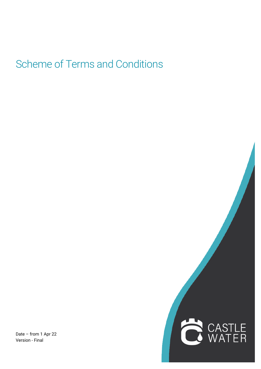# Scheme of Terms and Conditions

Date – from 1 Apr 22 Version - Final

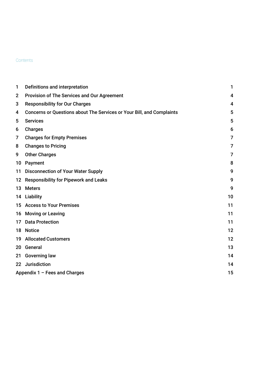# **Contents**

| 1               | Definitions and interpretation                                        | 1              |  |
|-----------------|-----------------------------------------------------------------------|----------------|--|
| $\mathbf{2}$    | Provision of The Services and Our Agreement                           | 4              |  |
| 3               | <b>Responsibility for Our Charges</b>                                 | 4              |  |
| 4               | Concerns or Questions about The Services or Your Bill, and Complaints | 5              |  |
| 5               | <b>Services</b>                                                       | 5              |  |
| 6               | <b>Charges</b>                                                        | 6              |  |
| 7               | <b>Charges for Empty Premises</b>                                     | 7              |  |
| 8               | <b>Changes to Pricing</b>                                             | $\overline{7}$ |  |
| 9               | <b>Other Charges</b>                                                  | $\overline{7}$ |  |
| 10              | Payment                                                               | 8              |  |
| 11              | <b>Disconnection of Your Water Supply</b>                             | 9              |  |
|                 | 12 Responsibility for Pipework and Leaks                              | 9              |  |
| 13              | <b>Meters</b>                                                         | 9              |  |
|                 | 14 Liability                                                          | 10             |  |
|                 | 15 Access to Your Premises                                            | 11             |  |
|                 | 16 Moving or Leaving                                                  | 11             |  |
| 17              | <b>Data Protection</b>                                                | 11             |  |
|                 | 18 Notice                                                             | 12             |  |
|                 | <b>19 Allocated Customers</b>                                         | 12             |  |
| 20              | General                                                               | 13             |  |
| 21              | <b>Governing law</b>                                                  | 14             |  |
| 22 <sub>2</sub> | Jurisdiction                                                          | 14             |  |
|                 | Appendix $1 -$ Fees and Charges<br>15                                 |                |  |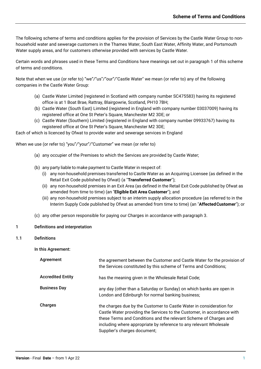The following scheme of terms and conditions applies for the provision of Services by the Castle Water Group to nonhousehold water and sewerage customers in the Thames Water, South East Water, Affinity Water, and Portsmouth Water supply areas, and for customers otherwise provided with services by Castle Water.

Certain words and phrases used in these Terms and Conditions have meanings set out in paragraph 1 of this scheme of terms and conditions.

Note that when we use (or refer to) "we"/"us"/"our"/"Castle Water" we mean (or refer to) any of the following companies in the Castle Water Group:

- (a) Castle Water Limited (registered in Scotland with company number SC475583) having its registered office is at 1 Boat Brae, Rattray, Blairgowrie, Scotland, PH10 7BH;
- (b) Castle Water (South East) Limited (registered in England with company number 03037009) having its registered office at One St Peter's Square, Manchester M2 3DE; or
- (c) Castle Water (Southern) Limited (registered in England with company number 09933767) having its registered office at One St Peter's Square, Manchester M2 3DE;

Each of which is licenced by Ofwat to provide water and sewerage services in England

When we use (or refer to) "you"/"your"/"Customer" we mean (or refer to)

- (a) any occupier of the Premises to which the Services are provided by Castle Water;
- (b) any party liable to make payment to Castle Water in respect of:
	- (i) any non-household premises transferred to Castle Water as an Acquiring Licensee (as defined in the Retail Exit Code published by Ofwat) (a "**Transferred Customer**");
	- (ii) any non-household premises in an Exit Area (as defined in the Retail Exit Code published by Ofwat as amended from time to time) (an "**Eligible Exit Area Customer**"); and
	- (iii) any non-household premises subject to an interim supply allocation procedure (as referred to in the Interim Supply Code published by Ofwat as amended from time to time) (an "**AffectedCustomer**"); or
- (c) any other person responsible for paying our Charges in accordance with paragraph 3.

## 1 Definitions and interpretation

1.1 Definitions

In this Agreement:

| Agreement                | the agreement between the Customer and Castle Water for the provision of<br>the Services constituted by this scheme of Terms and Conditions;                                                                                                                                                                               |
|--------------------------|----------------------------------------------------------------------------------------------------------------------------------------------------------------------------------------------------------------------------------------------------------------------------------------------------------------------------|
| <b>Accredited Entity</b> | has the meaning given in the Wholesale Retail Code;                                                                                                                                                                                                                                                                        |
| <b>Business Day</b>      | any day (other than a Saturday or Sunday) on which banks are open in<br>London and Edinburgh for normal banking business;                                                                                                                                                                                                  |
| Charges                  | the charges due by the Customer to Castle Water in consideration for<br>Castle Water providing the Services to the Customer, in accordance with<br>these Terms and Conditions and the relevant Scheme of Charges and<br>including where appropriate by reference to any relevant Wholesale<br>Supplier's charges document; |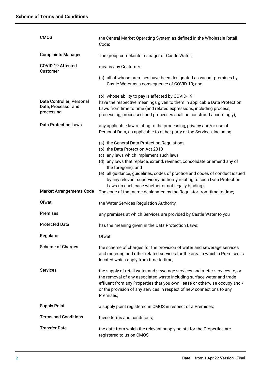| <b>CMOS</b>                                                    | the Central Market Operating System as defined in the Wholesale Retail<br>Code;                                                                                                                                                                                                                                                                                                      |  |  |
|----------------------------------------------------------------|--------------------------------------------------------------------------------------------------------------------------------------------------------------------------------------------------------------------------------------------------------------------------------------------------------------------------------------------------------------------------------------|--|--|
| <b>Complaints Manager</b>                                      | The group complaints manager of Castle Water;                                                                                                                                                                                                                                                                                                                                        |  |  |
| COVID 19 Affected<br><b>Customer</b>                           | means any Customer:                                                                                                                                                                                                                                                                                                                                                                  |  |  |
|                                                                | (a) all of whose premises have been designated as vacant premises by<br>Castle Water as a consequence of COVID-19; and                                                                                                                                                                                                                                                               |  |  |
| Data Controller, Personal<br>Data, Processor and<br>processing | (b) whose ability to pay is affected by COVID-19;<br>have the respective meanings given to them in applicable Data Protection<br>Laws from time to time (and related expressions, including process,<br>processing, processed, and processes shall be construed accordingly);                                                                                                        |  |  |
| <b>Data Protection Laws</b>                                    | any applicable law relating to the processing, privacy and/or use of<br>Personal Data, as applicable to either party or the Services, including:                                                                                                                                                                                                                                     |  |  |
|                                                                | (a) the General Data Protection Regulations<br>(b) the Data Protection Act 2018<br>(c) any laws which implement such laws<br>(d) any laws that replace, extend, re-enact, consolidate or amend any of<br>the foregoing; and<br>(e) all guidance, guidelines, codes of practice and codes of conduct issued<br>by any relevant supervisory authority relating to such Data Protection |  |  |
| <b>Market Arrangements Code</b>                                | Laws (in each case whether or not legally binding);<br>The code of that name designated by the Regulator from time to time;                                                                                                                                                                                                                                                          |  |  |
| <b>Ofwat</b>                                                   | the Water Services Regulation Authority;                                                                                                                                                                                                                                                                                                                                             |  |  |
| <b>Premises</b>                                                | any premises at which Services are provided by Castle Water to you                                                                                                                                                                                                                                                                                                                   |  |  |
| <b>Protected Data</b>                                          | has the meaning given in the Data Protection Laws;                                                                                                                                                                                                                                                                                                                                   |  |  |
| Regulator                                                      | Ofwat                                                                                                                                                                                                                                                                                                                                                                                |  |  |
| <b>Scheme of Charges</b>                                       | the scheme of charges for the provision of water and sewerage services<br>and metering and other related services for the area in which a Premises is<br>located which apply from time to time;                                                                                                                                                                                      |  |  |
| <b>Services</b>                                                | the supply of retail water and sewerage services and meter services to, or<br>the removal of any associated waste including surface water and trade<br>effluent from any Properties that you own, lease or otherwise occupy and /<br>or the provision of any services in respect of new connections to any<br>Premises;                                                              |  |  |
| <b>Supply Point</b>                                            | a supply point registered in CMOS in respect of a Premises;                                                                                                                                                                                                                                                                                                                          |  |  |
| <b>Terms and Conditions</b>                                    | these terms and conditions;                                                                                                                                                                                                                                                                                                                                                          |  |  |
| <b>Transfer Date</b>                                           | the date from which the relevant supply points for the Properties are<br>registered to us on CMOS;                                                                                                                                                                                                                                                                                   |  |  |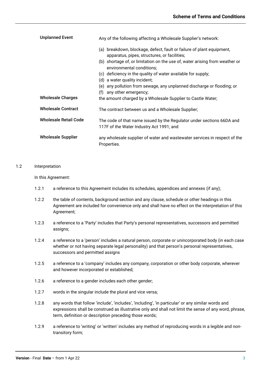| <b>Unplanned Event</b>       | Any of the following affecting a Wholesale Supplier's network:                                                        |  |  |
|------------------------------|-----------------------------------------------------------------------------------------------------------------------|--|--|
|                              | (a) breakdown, blockage, defect, fault or failure of plant equipment,<br>apparatus, pipes, structures, or facilities; |  |  |
|                              | (b) shortage of, or limitation on the use of, water arising from weather or<br>environmental conditions;              |  |  |
|                              | (c) deficiency in the quality of water available for supply;                                                          |  |  |
|                              | (d) a water quality incident;                                                                                         |  |  |
|                              | (e) any pollution from sewage, any unplanned discharge or flooding; or                                                |  |  |
|                              | any other emergency;<br>(f)                                                                                           |  |  |
| <b>Wholesale Charges</b>     | the amount charged by a Wholesale Supplier to Castle Water;                                                           |  |  |
| <b>Wholesale Contract</b>    | The contract between us and a Wholesale Supplier;                                                                     |  |  |
| <b>Wholesale Retail Code</b> | The code of that name issued by the Regulator under sections 66DA and<br>117F of the Water Industry Act 1991; and     |  |  |
| <b>Wholesale Supplier</b>    | any wholesale supplier of water and wastewater services in respect of the<br>Properties.                              |  |  |

## 1.2 Interpretation

## In this Agreement:

- 1.2.1 a reference to this Agreement includes its schedules, appendices and annexes (if any);
- 1.2.2 the table of contents, background section and any clause, schedule or other headings in this Agreement are included for convenience only and shall have no effect on the interpretation of this Agreement;
- 1.2.3 a reference to a 'Party' includes that Party's personal representatives, successors and permitted assigns;
- 1.2.4 a reference to a 'person' includes a natural person, corporate or unincorporated body (in each case whether or not having separate legal personality) and that person's personal representatives, successors and permitted assigns
- 1.2.5 a reference to a 'company' includes any company, corporation or other body corporate, wherever and however incorporated or established;
- 1.2.6 a reference to a gender includes each other gender;
- 1.2.7 words in the singular include the plural and vice versa;
- 1.2.8 any words that follow 'include', 'includes', 'including', 'in particular' or any similar words and expressions shall be construed as illustrative only and shall not limit the sense of any word, phrase, term, definition or description preceding those words;
- 1.2.9 a reference to 'writing' or 'written' includes any method of reproducing words in a legible and nontransitory form;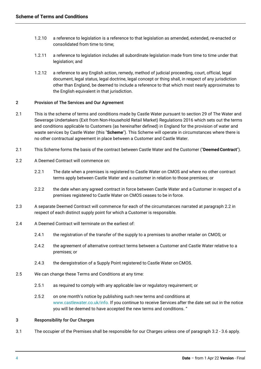- 1.2.10 a reference to legislation is a reference to that legislation as amended, extended, re-enacted or consolidated from time to time;
- 1.2.11 a reference to legislation includes all subordinate legislation made from time to time under that legislation; and
- 1.2.12 a reference to any English action, remedy, method of judicial proceeding, court, official, legal document, legal status, legal doctrine, legal concept or thing shall, in respect of any jurisdiction other than England, be deemed to include a reference to that which most nearly approximates to the English equivalent in that jurisdiction.

## 2 Provision of The Services and Our Agreement

- 2.1 This is the scheme of terms and conditions made by Castle Water pursuant to section 29 of The Water and Sewerage Undertakers (Exit from Non-Household Retail Market) Regulations 2016 which sets out the terms and conditions applicable to Customers (as hereinafter defined) in England for the provision of water and waste services by Castle Water (this "**Scheme**"). This Scheme will operate in circumstances where there is no other contractual agreement in place between a Customer and Castle Water.
- 2.1 This Scheme forms the basis of the contract between Castle Water and the Customer ("**DeemedContract**").
- 2.2 A Deemed Contract will commence on:
	- 2.2.1 The date when a premises is registered to Castle Water on CMOS and where no other contract terms apply between Castle Water and a customer in relation to those premises; or
	- 2.2.2 the date when any agreed contract in force between Castle Water and a Customer in respect of a premises registered to Castle Water on CMOS ceases to be in force.
- 2.3 A separate Deemed Contract will commence for each of the circumstances narrated at paragraph 2.2 in respect of each distinct supply point for which a Customer is responsible.
- 2.4 A Deemed Contract will terminate on the earliest of:
	- 2.4.1 the registration of the transfer of the supply to a premises to another retailer on CMOS; or
	- 2.4.2 the agreement of alternative contract terms between a Customer and Castle Water relative to a premises; or
	- 2.4.3 the deregistration of a Supply Point registered to Castle Water on CMOS.
- 2.5 We can change these Terms and Conditions at any time:
	- 2.5.1 as required to comply with any applicable law or regulatory requirement; or
	- 2.5.2 on one month's notice by publishing such new terms and conditions at [www.castlewater.co.uk/info.](http://www.castlewater.co.uk/info) If you continue to receive Services after the date set out in the notice you will be deemed to have accepted the new terms and conditions. "

## 3 Responsibility for Our Charges

3.1 The occupier of the Premises shall be responsible for our Charges unless one of paragraph 3.2 - 3.6 apply.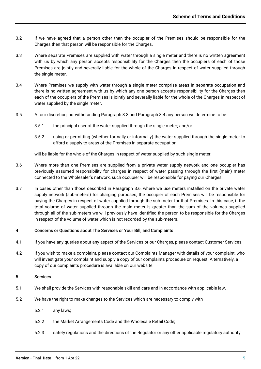- 3.2 If we have agreed that a person other than the occupier of the Premises should be responsible for the Charges then that person will be responsible for the Charges.
- 3.3 Where separate Premises are supplied with water through a single meter and there is no written agreement with us by which any person accepts responsibility for the Charges then the occupiers of each of those Premises are jointly and severally liable for the whole of the Charges in respect of water supplied through the single meter.
- 3.4 Where Premises we supply with water through a single meter comprise areas in separate occupation and there is no written agreement with us by which any one person accepts responsibility for the Charges then each of the occupiers of the Premises is jointly and severally liable for the whole of the Charges in respect of water supplied by the single meter.
- 3.5 At our discretion, notwithstanding Paragraph 3.3 and Paragraph 3.4 any person we determine to be:
	- 3.5.1 the principal user of the water supplied through the single meter; and/or
	- 3.5.2 using or permitting (whether formally or informally) the water supplied through the single meter to afford a supply to areas of the Premises in separate occupation.

will be liable for the whole of the Charges in respect of water supplied by such single meter.

- 3.6 Where more than one Premises are supplied from a private water supply network and one occupier has previously assumed responsibility for charges in respect of water passing through the first (main) meter connected to the Wholesaler's network, such occupier will be responsible for paying our Charges.
- 3.7 In cases other than those described in Paragraph 3.6, where we use meters installed on the private water supply network (sub-meters) for charging purposes, the occupier of each Premises will be responsible for paying the Charges in respect of water supplied through the sub-meter for that Premises. In this case, if the total volume of water supplied through the main meter is greater than the sum of the volumes supplied through all of the sub-meters we will previously have identified the person to be responsible for the Charges in respect of the volume of water which is not recorded by the sub-meters.

## 4 Concerns or Questions about The Services or Your Bill, and Complaints

- 4.1 If you have any queries about any aspect of the Services or our Charges, please contact Customer Services.
- 4.2 If you wish to make a complaint, please contact our Complaints Manager with details of your complaint, who will investigate your complaint and supply a copy of our complaints procedure on request. Alternatively, a copy of our complaints procedure is available on our website.

## 5 Services

- 5.1 We shall provide the Services with reasonable skill and care and in accordance with applicable law.
- 5.2 We have the right to make changes to the Services which are necessary to comply with
	- 5.2.1 any laws;
	- 5.2.2 the Market Arrangements Code and the Wholesale Retail Code;
	- 5.2.3 safety regulations and the directions of the Regulator or any other applicable regulatory authority.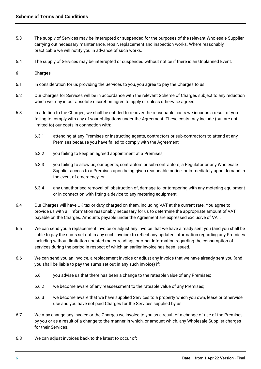- 5.3 The supply of Services may be interrupted or suspended for the purposes of the relevant Wholesale Supplier carrying out necessary maintenance, repair, replacement and inspection works. Where reasonably practicable we will notify you in advance of such works.
- 5.4 The supply of Services may be interrupted or suspended without notice if there is an Unplanned Event.

## 6 Charges

- 6.1 In consideration for us providing the Services to you, you agree to pay the Charges to us.
- 6.2 Our Charges for Services will be in accordance with the relevant Scheme of Charges subject to any reduction which we may in our absolute discretion agree to apply or unless otherwise agreed.
- 6.3 In addition to the Charges, we shall be entitled to recover the reasonable costs we incur as a result of you failing to comply with any of your obligations under the Agreement. These costs may include (but are not limited to) our costs in connection with:
	- 6.3.1 attending at any Premises or instructing agents, contractors or sub-contractors to attend at any Premises because you have failed to comply with the Agreement;
	- 6.3.2 you failing to keep an agreed appointment at a Premises;
	- 6.3.3 you failing to allow us, our agents, contractors or sub-contractors, a Regulator or any Wholesale Supplier access to a Premises upon being given reasonable notice, or immediately upon demand in the event of emergency; or
	- 6.3.4 any unauthorised removal of, obstruction of, damage to, or tampering with any metering equipment or in connection with fitting a device to any metering equipment.
- 6.4 Our Charges will have UK tax or duty charged on them, including VAT at the current rate. You agree to provide us with all information reasonably necessary for us to determine the appropriate amount of VAT payable on the Charges. Amounts payable under the Agreement are expressed exclusive of VAT.
- 6.5 We can send you a replacement invoice or adjust any invoice that we have already sent you (and you shall be liable to pay the sums set out in any such invoice) to reflect any updated information regarding any Premises including without limitation updated meter readings or other information regarding the consumption of services during the period in respect of which an earlier invoice has been issued.
- 6.6 We can send you an invoice, a replacement invoice or adjust any invoice that we have already sent you (and you shall be liable to pay the sums set out in any such invoice) if:
	- 6.6.1 you advise us that there has been a change to the rateable value of any Premises;
	- 6.6.2 we become aware of any reassessment to the rateable value of any Premises;
	- 6.6.3 we become aware that we have supplied Services to a property which you own, lease or otherwise use and you have not paid Charges for the Services supplied by us.
- 6.7 We may change any invoice or the Charges we invoice to you as a result of a change of use of the Premises by you or as a result of a change to the manner in which, or amount which, any Wholesale Supplier charges for their Services.
- 6.8 We can adjust invoices back to the latest to occur of: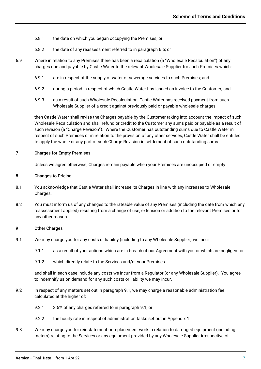- 6.8.1 the date on which you began occupying the Premises; or
- 6.8.2 the date of any reassessment referred to in paragraph 6.6; or
- 6.9 Where in relation to any Premises there has been a recalculation (a "Wholesale Recalculation") of any charges due and payable by Castle Water to the relevant Wholesale Supplier for such Premises which:
	- 6.9.1 are in respect of the supply of water or sewerage services to such Premises; and
	- 6.9.2 during a period in respect of which Castle Water has issued an invoice to the Customer; and
	- 6.9.3 as a result of such Wholesale Recalculation, Castle Water has received payment from such Wholesale Supplier of a credit against previously paid or payable wholesale charges;

then Castle Water shall revise the Charges payable by the Customer taking into account the impact of such Wholesale Recalculation and shall refund or credit to the Customer any sums paid or payable as a result of such revision (a "Charge Revision"). Where the Customer has outstanding sums due to Castle Water in respect of such Premises or in relation to the provision of any other services, Castle Water shall be entitled to apply the whole or any part of such Charge Revision in settlement of such outstanding sums.

## 7 Charges for Empty Premises

Unless we agree otherwise, Charges remain payable when your Premises are unoccupied or empty

## 8 Changes to Pricing

- 8.1 You acknowledge that Castle Water shall increase its Charges in line with any increases to Wholesale Charges.
- 8.2 You must inform us of any changes to the rateable value of any Premises (including the date from which any reassessment applied) resulting from a change of use, extension or addition to the relevant Premises or for any other reason.

## 9 Other Charges

- 9.1 We may charge you for any costs or liability (including to any Wholesale Supplier) we incur
	- 9.1.1 as a result of your actions which are in breach of our Agreement with you or which are negligent or
	- 9.1.2 which directly relate to the Services and/or your Premises

and shall in each case include any costs we incur from a Regulator (or any Wholesale Supplier). You agree to indemnify us on demand for any such costs or liability we may incur.

- 9.2 In respect of any matters set out in paragraph 9.1, we may charge a reasonable administration fee calculated at the higher of:
	- 9.2.1 3.5% of any charges referred to in paragraph 9.1; or
	- 9.2.2 the hourly rate in respect of administration tasks set out in Appendix 1.
- 9.3 We may charge you for reinstatement or replacement work in relation to damaged equipment (including meters) relating to the Services or any equipment provided by any Wholesale Supplier irrespective of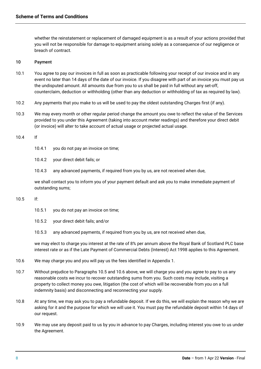whether the reinstatement or replacement of damaged equipment is as a result of your actions provided that you will not be responsible for damage to equipment arising solely as a consequence of our negligence or breach of contract.

## 10 Payment

- 10.1 You agree to pay our invoices in full as soon as practicable following your receipt of our invoice and in any event no later than 14 days of the date of our invoice. If you disagree with part of an invoice you must pay us the undisputed amount. All amounts due from you to us shall be paid in full without any set-off, counterclaim, deduction or withholding (other than any deduction or withholding of tax as required by law).
- 10.2 Any payments that you make to us will be used to pay the oldest outstanding Charges first (if any).
- 10.3 We may every month or other regular period change the amount you owe to reflect the value of the Services provided to you under this Agreement (taking into account meter readings) and therefore your direct debit (or invoice) will alter to take account of actual usage or projected actual usage.

#### 10.4 If

- 10.4.1 you do not pay an invoice on time;
- 10.4.2 your direct debit fails; or
- 10.4.3 any advanced payments, if required from you by us, are not received when due,

we shall contact you to inform you of your payment default and ask you to make immediate payment of outstanding sums;

## 10.5 If:

- 10.5.1 you do not pay an invoice on time;
- 10.5.2 your direct debit fails; and/or
- 10.5.3 any advanced payments, if required from you by us, are not received when due,

we may elect to charge you interest at the rate of 8% per annum above the Royal Bank of Scotland PLC base interest rate or as if the Late Payment of Commercial Debts (Interest) Act 1998 applies to this Agreement.

- 10.6 We may charge you and you will pay us the fees identified in Appendix 1.
- 10.7 Without prejudice to Paragraphs 10.5 and 10.6 above, we will charge you and you agree to pay to us any reasonable costs we incur to recover outstanding sums from you. Such costs may include, visiting a property to collect money you owe, litigation (the cost of which will be recoverable from you on a full indemnity basis) and disconnecting and reconnecting your supply.
- 10.8 At any time, we may ask you to pay a refundable deposit. If we do this, we will explain the reason why we are asking for it and the purpose for which we will use it. You must pay the refundable deposit within 14 days of our request.
- 10.9 We may use any deposit paid to us by you in advance to pay Charges, including interest you owe to us under the Agreement.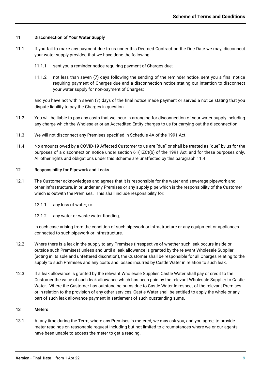#### 11 Disconnection of Your Water Supply

- 11.1 If you fail to make any payment due to us under this Deemed Contract on the Due Date we may, disconnect your water supply provided that we have done the following:
	- 11.1.1 sent you a reminder notice requiring payment of Charges due;
	- 11.1.2 not less than seven (7) days following the sending of the reminder notice, sent you a final notice requiring payment of Charges due and a disconnection notice stating our intention to disconnect your water supply for non-payment of Charges;

and you have not within seven (7) days of the final notice made payment or served a notice stating that you dispute liability to pay the Charges in question.

- 11.2 You will be liable to pay any costs that we incur in arranging for disconnection of your water supply including any charge which the Wholesaler or an Accredited Entity charges to us for carrying out the disconnection.
- 11.3 We will not disconnect any Premises specified in Schedule 4A of the 1991 Act.
- 11.4 No amounts owed by a COVID-19 Affected Customer to us are "due" or shall be treated as "due" by us for the purposes of a disconnection notice under section 61(1ZC)(b) of the 1991 Act, and for these purposes only. All other rights and obligations under this Scheme are unaffected by this paragraph 11.4

#### 12 Responsibility for Pipework and Leaks

- 12.1 The Customer acknowledges and agrees that it is responsible for the water and sewerage pipework and other infrastructure, in or under any Premises or any supply pipe which is the responsibility of the Customer which is outwith the Premises. This shall include responsibility for:
	- 12.1.1 any loss of water; or
	- 12.1.2 any water or waste water flooding,

in each case arising from the condition of such pipework or infrastructure or any equipment or appliances connected to such pipework or infrastructure.

- 12.2 Where there is a leak in the supply to any Premises (irrespective of whether such leak occurs inside or outside such Premises) unless and until a leak allowance is granted by the relevant Wholesale Supplier (acting in its sole and unfettered discretion), the Customer shall be responsible for all Charges relating to the supply to such Premises and any costs and losses incurred by Castle Water in relation to such leak.
- 12.3 If a leak allowance is granted by the relevant Wholesale Supplier, Castle Water shall pay or credit to the Customer the value of such leak allowance which has been paid by the relevant Wholesale Supplier to Castle Water. Where the Customer has outstanding sums due to Castle Water in respect of the relevant Premises or in relation to the provision of any other services, Castle Water shall be entitled to apply the whole or any part of such leak allowance payment in settlement of such outstanding sums.

#### 13 Meters

13.1 At any time during the Term, where any Premises is metered, we may ask you, and you agree, to provide meter readings on reasonable request including but not limited to circumstances where we or our agents have been unable to access the meter to get a reading.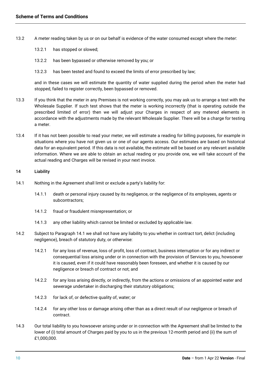- 13.2 A meter reading taken by us or on our behalf is evidence of the water consumed except where the meter:
	- 13.2.1 has stopped or slowed;
	- 13.2.2 has been bypassed or otherwise removed by you; or
	- 13.2.3 has been tested and found to exceed the limits of error prescribed by law;

and in these cases we will estimate the quantity of water supplied during the period when the meter had stopped, failed to register correctly, been bypassed or removed.

- 13.3 If you think that the meter in any Premises is not working correctly, you may ask us to arrange a test with the Wholesale Supplier. If such test shows that the meter is working incorrectly (that is operating outside the prescribed limited of error) then we will adjust your Charges in respect of any metered elements in accordance with the adjustments made by the relevant Wholesale Supplier. There will be a charge for testing a meter.
- 13.4 If it has not been possible to read your meter, we will estimate a reading for billing purposes, for example in situations where you have not given us or one of our agents access. Our estimates are based on historical data for an equivalent period. If this data is not available, the estimate will be based on any relevant available information. Where we are able to obtain an actual reading or you provide one, we will take account of the actual reading and Charges will be revised in your next invoice.

## 14 Liability

- 14.1 Nothing in the Agreement shall limit or exclude a party's liability for:
	- 14.1.1 death or personal injury caused by its negligence, or the negligence of its employees, agents or subcontractors;
	- 14.1.2 fraud or fraudulent misrepresentation; or
	- 14.1.3 any other liability which cannot be limited or excluded by applicable law.
- 14.2 Subject to Paragraph 14.1 we shall not have any liability to you whether in contract tort, delict (including negligence), breach of statutory duty, or otherwise:
	- 14.2.1 for any loss of revenue, loss of profit, loss of contract, business interruption or for any indirect or consequential loss arising under or in connection with the provision of Services to you, howsoever it is caused, even if it could have reasonably been foreseen, and whether it is caused by our negligence or breach of contract or not; and
	- 14.2.2 for any loss arising directly, or indirectly, from the actions or omissions of an appointed water and sewerage undertaker in discharging their statutory obligations;
	- 14.2.3 for lack of, or defective quality of, water; or
	- 14.2.4 for any other loss or damage arising other than as a direct result of our negligence or breach of contract.
- 14.3 Our total liability to you howsoever arising under or in connection with the Agreement shall be limited to the lower of (i) total amount of Charges paid by you to us in the previous 12-month period and (ii) the sum of £1,000,000.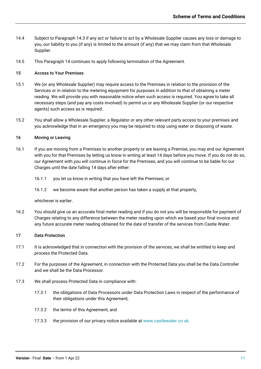- 14.4 Subject to Paragraph 14.3 if any act or failure to act by a Wholesale Supplier causes any loss or damage to you, our liability to you (if any) is limited to the amount (if any) that we may claim from that Wholesale Supplier.
- 14.5 This Paragraph 14 continues to apply following termination of the Agreement.

## 15 Access to Your Premises

- 15.1 We (or any Wholesale Supplier) may require access to the Premises in relation to the provision of the Services or in relation to the metering equipment for purposes in addition to that of obtaining a meter reading. We will provide you with reasonable notice when such access is required. You agree to take all necessary steps (and pay any costs involved) to permit us or any Wholesale Supplier (or our respective agents) such access as is required.
- 15.2 You shall allow a Wholesale Supplier, a Regulator or any other relevant party access to your premises and you acknowledge that in an emergency you may be required to stop using water or disposing of waste.

## 16 Moving or Leaving

- 16.1 If you are moving from a Premises to another property or are leaving a Premise, you may end our Agreement with you for that Premises by letting us know in writing at least 14 days before you move. If you do not do so, our Agreement with you will continue in force for the Premises, and you will continue to be liable for our Charges until the date falling 14 days after either:
	- 16.1.1 you let us know in writing that you have left the Premises; or
	- 16.1.2 we become aware that another person has taken a supply at that property,

whichever is earlier.

16.2 You should give us an accurate final meter reading and if you do not you will be responsible for payment of Charges relating to any difference between the meter reading upon which we based your final invoice and any future accurate meter reading obtained for the date of transfer of the services from Castle Water.

## 17 Data Protection

- 17.1 It is acknowledged that in connection with the provision of the services, we shall be entitled to keep and process the Protected Data.
- 17.2 For the purposes of the Agreement, in connection with the Protected Data you shall be the Data Controller and we shall be the Data Processor.
- 17.3 We shall process Protected Data in compliance with:
	- 17.3.1 the obligations of Data Processors under Data Protection Laws in respect of the performance of their obligations under this Agreement;
	- 17.3.2 the terms of this Agreement; and
	- 17.3.3 the provision of our privacy notice available a[t www.castlewater.co.uk.](http://www.castlewater.co.uk/)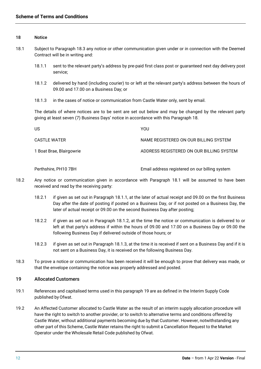#### 18 Notice

- <span id="page-13-1"></span><span id="page-13-0"></span>18.1 Subject to Paragraph 18.3 any notice or other communication given under or in connection with the Deemed Contract will be in writing and:
	- 18.1.1 sent to the relevant party's address by pre-paid first class post or guaranteed next day delivery post service;
	- 18.1.2 delivered by hand (including courier) to or left at the relevant party's address between the hours of 09.00 and 17.00 on a Business Day; or
	- 18.1.3 in the cases of notice or communication from Castle Water only, sent by email.

<span id="page-13-3"></span><span id="page-13-2"></span>The details of where notices are to be sent are set out below and may be changed by the relevant party giving at least seven (7) Business Days' notice in accordance with this Paragraph 18.

| US.                      | YOU                                      |
|--------------------------|------------------------------------------|
| CASTLE WATER             | NAME REGISTERED ON OUR BILLING SYSTEM    |
| 1 Boat Brae, Blairgowrie | ADDRESS REGISTERED ON OUR BILLING SYSTEM |

Perthshire, PH10 7BH Email address registered on our billing system

- 18.2 Any notice or communication given in accordance with Paragraph [18.1](#page-13-0) will be assumed to have been received and read by the receiving party:
	- 18.2.1 if given as set out in Paragraph [18.1.1, a](#page-13-1)t the later of actual receipt and 09.00 on the first Business Day after the date of posting if posted on a Business Day, or if not posted on a Business Day, the later of actual receipt or 09.00 on the second Business Day after posting;
	- 18.2.2 if given as set out in Paragraph [18.1.2, a](#page-13-2)t the time the notice or communication is delivered to or left at that party's address if within the hours of 09.00 and 17.00 on a Business Day or 09.00 the following Business Day if delivered outside of those hours; or
	- 18.2.3 if given as set out in Paragraph [18.1.3, a](#page-13-3)t the time it is received if sent on a Business Day and if it is not sent on a Business Day, it is received on the following Business Day.
- 18.3 To prove a notice or communication has been received it will be enough to prove that delivery was made, or that the envelope containing the notice was properly addressed and posted.

## 19 Allocated Customers

- 19.1 References and capitalised terms used in this paragraph 19 are as defined in the Interim Supply Code published by Ofwat.
- <span id="page-13-4"></span>19.2 An Affected Customer allocated to Castle Water as the result of an interim supply allocation procedure will have the right to switch to another prov[ider,](#page-13-4) or to switch to alternative terms and conditions offered by Castle Water, without additional payments becoming due by that Customer. However, notwithstanding any other part of this Scheme, Castle Water retains the right to submit a Cancellation Request to the Market Operator under the Wholesale Retail Code published by Ofwat.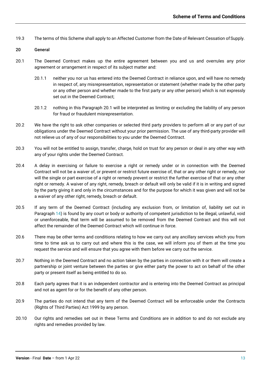19.3 The terms of this Scheme shall apply to an Affected Customer from the Date of Relevant Cessation of Supply.

#### 20 General

- <span id="page-14-0"></span>20.1 The Deemed Contract makes up the entire agreement between you and us and overrules any prior agreement or arrangement in respect of its subject matter and:
	- 20.1.1 neither you nor us has entered into the Deemed Contract in reliance upon, and will have no remedy in respect of, any misrepresentation, representation or statement (whether made by the other party or any other person and whether made to the first party or any other person) which is not expressly set out in the Deemed Contract;
	- 20.1.2 nothing in this Paragraph [20.1](#page-14-0) will be interpreted as limiting or excluding the liability of any person for fraud or fraudulent misrepresentation.
- 20.2 We have the right to ask other companies or selected third party providers to perform all or any part of our obligations under the Deemed Contract without your prior permission. The use of any third-party provider will not relieve us of any of our responsibilities to you under the Deemed Contract.
- 20.3 You will not be entitled to assign, transfer, charge, hold on trust for any person or deal in any other way with any of your rights under the Deemed Contract.
- 20.4 A delay in exercising or failure to exercise a right or remedy under or in connection with the Deemed Contract will not be a waiver of, or prevent or restrict future exercise of, that or any other right or remedy, nor will the single or part exercise of a right or remedy prevent or restrict the further exercise of that or any other right or remedy. A waiver of any right, remedy, breach or default will only be valid if it is in writing and signed by the party giving it and only in the circumstances and for the purpose for which it was given and will not be a waiver of any other right, remedy, breach or default.
- 20.5 If any term of the Deemed Contract (including any exclusion from, or limitation of, liability set out in Paragraph 14) is found by any court or body or authority of competent jurisdiction to be illegal, unlawful, void or unenforceable, that term will be assumed to be removed from the Deemed Contract and this will not affect the remainder of the Deemed Contract which will continue in force.
- 20.6 There may be other terms and conditions relating to how we carry out any ancillary services which you from time to time ask us to carry out and where this is the case, we will inform you of them at the time you request the service and will ensure that you agree with them before we carry out the service.
- 20.7 Nothing in the Deemed Contract and no action taken by the parties in connection with it or them will create a partnership or joint venture between the parties or give either party the power to act on behalf of the other party or present itself as being entitled to do so.
- 20.8 Each party agrees that it is an independent contractor and is entering into the Deemed Contract as principal and not as agent for or for the benefit of any other person.
- 20.9 The parties do not intend that any term of the Deemed Contract will be enforceable under the Contracts (Rights of Third Parties) Act 1999 by any person.
- 20.10 Our rights and remedies set out in these Terms and Conditions are in addition to and do not exclude any rights and remedies provided by law.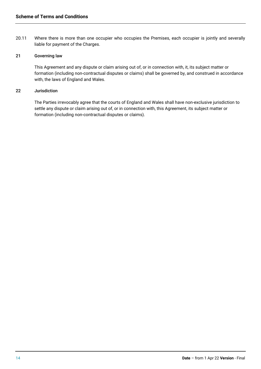20.11 Where there is more than one occupier who occupies the Premises, each occupier is jointly and severally liable for payment of the Charges.

# 21 Governing law

This Agreement and any dispute or claim arising out of, or in connection with, it, its subject matter or formation (including non-contractual disputes or claims) shall be governed by, and construed in accordance with, the laws of England and Wales.

## 22 Jurisdiction

The Parties irrevocably agree that the courts of England and Wales shall have non-exclusive jurisdiction to settle any dispute or claim arising out of, or in connection with, this Agreement, its subject matter or formation (including non-contractual disputes or claims).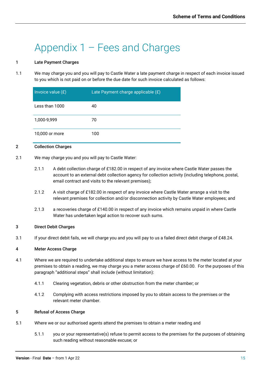# Appendix 1 – Fees and Charges

# 1 Late Payment Charges

1.1 We may charge you and you will pay to Castle Water a late payment charge in respect of each invoice issued to you which is not paid on or before the due date for such invoice calculated as follows:

| Invoice value (£) | Late Payment charge applicable (£) |
|-------------------|------------------------------------|
| Less than 1000    | 40                                 |
| 1,000-9,999       | 70                                 |
| 10,000 or more    | 100                                |

# 2 Collection Charges

- 2.1 We may charge you and you will pay to Castle Water:
	- 2.1.1 A debt collection charge of £182.00 in respect of any invoice where Castle Water passes the account to an external debt collection agency for collection activity (including telephone, postal, email contract and visits to the relevant premises);
	- 2.1.2 A visit charge of £182.00 in respect of any invoice where Castle Water arrange a visit to the relevant premises for collection and/or disconnection activity by Castle Water employees; and
	- 2.1.3 a recoveries charge of £140.00 in respect of any invoice which remains unpaid in where Castle Water has undertaken legal action to recover such sums.

## 3 Direct Debit Charges

3.1 If your direct debit fails, we will charge you and you will pay to us a failed direct debit charge of £48.24.

## 4 Meter Access Charge

- 4.1 Where we are required to undertake additional steps to ensure we have access to the meter located at your premises to obtain a reading, we may charge you a meter access charge of £60.00. For the purposes of this paragraph "additional steps" shall include (without limitation):
	- 4.1.1 Clearing vegetation, debris or other obstruction from the meter chamber; or
	- 4.1.2 Complying with access restrictions imposed by you to obtain access to the premises or the relevant meter chamber.

## 5 Refusal of Access Charge

- 5.1 Where we or our authorised agents attend the premises to obtain a meter reading and
	- 5.1.1 you or your representative(s) refuse to permit access to the premises for the purposes of obtaining such reading without reasonable excuse; or